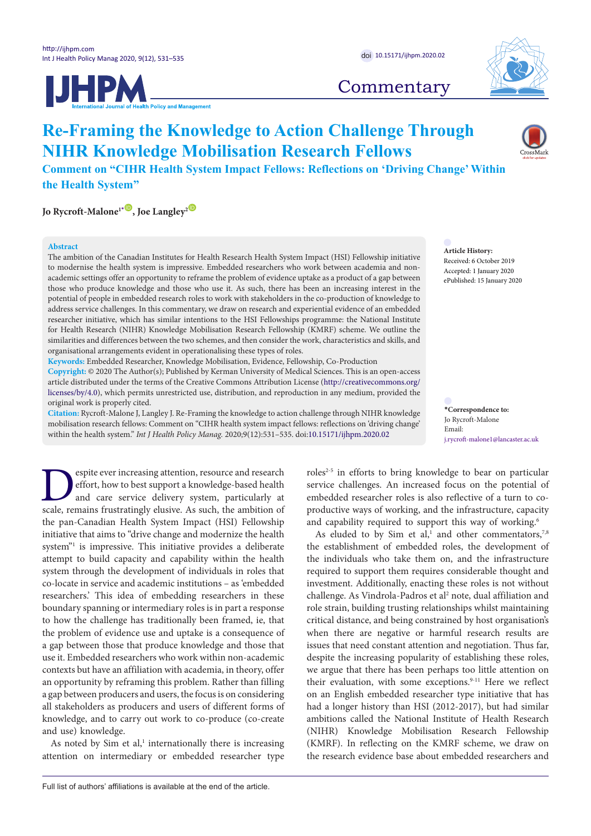



## **Commentary**

# **Re-Framing the Knowledge to Action Challenge Through NIHR Knowledge Mobilisation Research Fellows**

**Comment on "CIHR Health System Impact Fellows: Reflections on 'Driving Change' Within the Health System"**

**Jo Rycroft-Malone<sup>1</sub><sup><b>D**</sup>, Joe Langley<sup>2</sub><sup>**D**</sup></sup></sup>

#### **Abstract**

The ambition of the Canadian Institutes for Health Research Health System Impact (HSI) Fellowship initiative to modernise the health system is impressive. Embedded researchers who work between academia and nonacademic settings offer an opportunity to reframe the problem of evidence uptake as a product of a gap between those who produce knowledge and those who use it. As such, there has been an increasing interest in the potential of people in embedded research roles to work with stakeholders in the co-production of knowledge to address service challenges. In this commentary, we draw on research and experiential evidence of an embedded researcher initiative, which has similar intentions to the HSI Fellowships programme: the National Institute for Health Research (NIHR) Knowledge Mobilisation Research Fellowship (KMRF) scheme. We outline the similarities and differences between the two schemes, and then consider the work, characteristics and skills, and organisational arrangements evident in operationalising these types of roles.

**Keywords:** Embedded Researcher, Knowledge Mobilisation, Evidence, Fellowship, Co-Production

**Copyright:** © 2020 The Author(s); Published by Kerman University of Medical Sciences. This is an open-access article distributed under the terms of the Creative Commons Attribution License [\(http://creativecommons.org/](http://creativecommons.org/licenses/by/4.0) [licenses/by/4.0](http://creativecommons.org/licenses/by/4.0)), which permits unrestricted use, distribution, and reproduction in any medium, provided the original work is properly cited.

**Citation:** Rycroft-Malone J, Langley J. Re-Framing the knowledge to action challenge through NIHR knowledge mobilisation research fellows: Comment on "CIHR health system impact fellows: reflections on 'driving change' within the health system." *Int J Health Policy Manag.* 2020;9(12):531–535. doi:[10.15171/ijhpm.2020.02](https://doi.org/10.15171/ijhpm.2020.02)

**Article History:** Received: 6 October 2019 Accepted: 1 January 2020 ePublished: 15 January 2020

<span id="page-0-0"></span>**\*Correspondence to:** Jo Rycroft-Malone Email: j.rycroft-malone1@lancaster.ac.uk

Experie ever increasing attention, resource and research<br>effort, how to best support a knowledge-based health<br>and care service delivery system, particularly at<br>scale, remains frustratingly elusive. As such, the ambition of effort, how to best support a knowledge-based health and care service delivery system, particularly at scale, remains frustratingly elusive. As such, the ambition of the pan-Canadian Health System Impact (HSI) Fellowship initiative that aims to "drive change and modernize the health system"<sup>1</sup> is impressive. This initiative provides a deliberate attempt to build capacity and capability within the health system through the development of individuals in roles that co-locate in service and academic institutions – as 'embedded researchers.' This idea of embedding researchers in these boundary spanning or intermediary roles is in part a response to how the challenge has traditionally been framed, ie, that the problem of evidence use and uptake is a consequence of a gap between those that produce knowledge and those that use it. Embedded researchers who work within non-academic contexts but have an affiliation with academia, in theory, offer an opportunity by reframing this problem. Rather than filling a gap between producers and users, the focus is on considering all stakeholders as producers and users of different forms of knowledge, and to carry out work to co-produce (co-create and use) knowledge.

As noted by  $Sim$  et al, $<sup>1</sup>$  internationally there is increasing</sup> attention on intermediary or embedded researcher type roles<sup> $2-5$ </sup> in efforts to bring knowledge to bear on particular service challenges. An increased focus on the potential of embedded researcher roles is also reflective of a turn to coproductive ways of working, and the infrastructure, capacity and capability required to support this way of working.<sup>6</sup>

As eluded to by Sim et al,<sup>1</sup> and other commentators,<sup>7,8</sup> the establishment of embedded roles, the development of the individuals who take them on, and the infrastructure required to support them requires considerable thought and investment. Additionally, enacting these roles is not without challenge. As Vindrola-Padros et al<sup>2</sup> note, dual affiliation and role strain, building trusting relationships whilst maintaining critical distance, and being constrained by host organisation's when there are negative or harmful research results are issues that need constant attention and negotiation. Thus far, despite the increasing popularity of establishing these roles, we argue that there has been perhaps too little attention on their evaluation, with some exceptions.<sup>9-11</sup> Here we reflect on an English embedded researcher type initiative that has had a longer history than HSI (2012-2017), but had similar ambitions called the National Institute of Health Research (NIHR) Knowledge Mobilisation Research Fellowship (KMRF). In reflecting on the KMRF scheme, we draw on the research evidence base about embedded researchers and

Full list of authors' affiliations is available at the end of the article.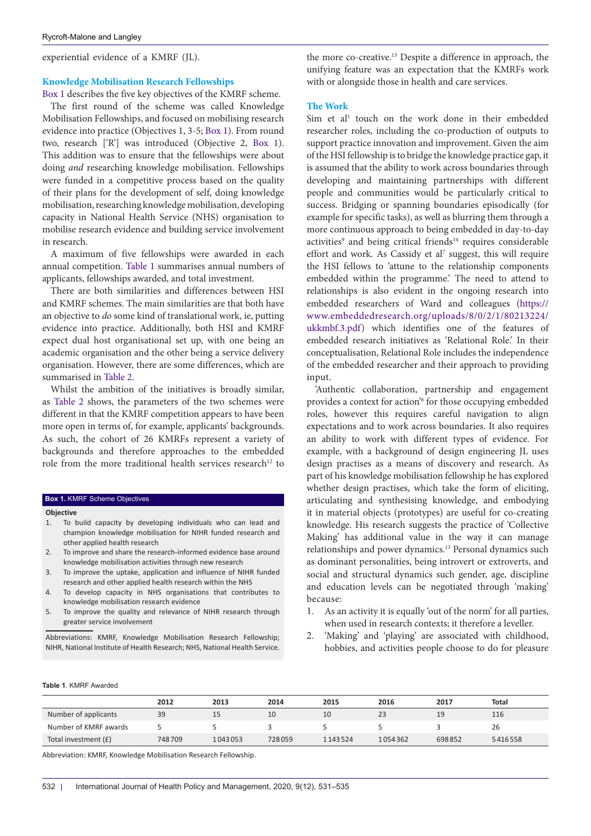experiential evidence of a KMRF (JL).

## **Knowledge Mobilisation Research Fellowships**

[Box 1](#page-1-0) describes the five key objectives of the KMRF scheme.

The first round of the scheme was called Knowledge Mobilisation Fellowships, and focused on mobilising research evidence into practice (Objectives 1, 3-5; [Box 1\)](#page-1-0). From round two, research ['R'] was introduced (Objective 2, [Box 1\)](#page-1-0). This addition was to ensure that the fellowships were about doing *and* researching knowledge mobilisation. Fellowships were funded in a competitive process based on the quality of their plans for the development of self, doing knowledge mobilisation, researching knowledge mobilisation, developing capacity in National Health Service (NHS) organisation to mobilise research evidence and building service involvement in research.

A maximum of five fellowships were awarded in each annual competition. [Table 1](#page-1-1) summarises annual numbers of applicants, fellowships awarded, and total investment.

There are both similarities and differences between HSI and KMRF schemes. The main similarities are that both have an objective to *do* some kind of translational work, ie, putting evidence into practice. Additionally, both HSI and KMRF expect dual host organisational set up, with one being an academic organisation and the other being a service delivery organisation. However, there are some differences, which are summarised in [Table 2.](#page-2-0)

Whilst the ambition of the initiatives is broadly similar, as [Table 2](#page-2-0) shows, the parameters of the two schemes were different in that the KMRF competition appears to have been more open in terms of, for example, applicants' backgrounds. As such, the cohort of 26 KMRFs represent a variety of backgrounds and therefore approaches to the embedded role from the more traditional health services research<sup>12</sup> to

#### <span id="page-1-0"></span>**Box 1.** KMRF Scheme Objectives

#### **Objective**

- 1. To build capacity by developing individuals who can lead and champion knowledge mobilisation for NIHR funded research and other applied health research
- 2. To improve and share the research-informed evidence base around knowledge mobilisation activities through new research
- 3. To improve the uptake, application and influence of NIHR funded research and other applied health research within the NHS
- 4. To develop capacity in NHS organisations that contributes to knowledge mobilisation research evidence
- 5. To improve the quality and relevance of NIHR research through greater service involvement

Abbreviations: KMRF, Knowledge Mobilisation Research Fellowship; NIHR, National Institute of Health Research; NHS, National Health Service.

the more co-creative.13 Despite a difference in approach, the unifying feature was an expectation that the KMRFs work with or alongside those in health and care services.

## **The Work**

Sim et al<sup>1</sup> touch on the work done in their embedded researcher roles, including the co-production of outputs to support practice innovation and improvement. Given the aim of the HSI fellowship is to bridge the knowledge practice gap, it is assumed that the ability to work across boundaries through developing and maintaining partnerships with different people and communities would be particularly critical to success. Bridging or spanning boundaries episodically (for example for specific tasks), as well as blurring them through a more continuous approach to being embedded in day-to-day activities<sup>9</sup> and being critical friends<sup>14</sup> requires considerable effort and work. As Cassidy et al<sup>7</sup> suggest, this will require the HSI fellows to 'attune to the relationship components embedded within the programme.' The need to attend to relationships is also evident in the ongoing research into embedded researchers of Ward and colleagues ([https://](https://www.embeddedresearch.org/uploads/8/0/2/1/80213224/ukkmbf.3.pdf) [www.embeddedresearch.org/uploads/8/0/2/1/80213224/](https://www.embeddedresearch.org/uploads/8/0/2/1/80213224/ukkmbf.3.pdf) [ukkmbf.3.pdf](https://www.embeddedresearch.org/uploads/8/0/2/1/80213224/ukkmbf.3.pdf)) which identifies one of the features of embedded research initiatives as 'Relational Role.' In their conceptualisation, Relational Role includes the independence of the embedded researcher and their approach to providing input.

'Authentic collaboration, partnership and engagement provides a context for action<sup>'6</sup> for those occupying embedded roles, however this requires careful navigation to align expectations and to work across boundaries. It also requires an ability to work with different types of evidence. For example, with a background of design engineering JL uses design practises as a means of discovery and research. As part of his knowledge mobilisation fellowship he has explored whether design practises, which take the form of eliciting, articulating and synthesising knowledge, and embodying it in material objects (prototypes) are useful for co-creating knowledge. His research suggests the practice of 'Collective Making' has additional value in the way it can manage relationships and power dynamics.13 Personal dynamics such as dominant personalities, being introvert or extroverts, and social and structural dynamics such gender, age, discipline and education levels can be negotiated through 'making' because:

- 1. As an activity it is equally 'out of the norm' for all parties, when used in research contexts; it therefore a leveller.
- 2. 'Making' and 'playing' are associated with childhood, hobbies, and activities people choose to do for pleasure

#### <span id="page-1-1"></span>**Table 1**. KMRF Awarded

|                       | 2012   | 2013    | 2014   | 2015    | 2016    | 2017   | Total   |
|-----------------------|--------|---------|--------|---------|---------|--------|---------|
| Number of applicants  | 39     | 15      | 10     | 10      | 23      | 19     | 116     |
| Number of KMRF awards |        |         |        |         |         |        | 26      |
| Total investment (£)  | 748709 | 1043053 | 728059 | 1143524 | 1054362 | 698852 | 5416558 |

Abbreviation: KMRF, Knowledge Mobilisation Research Fellowship.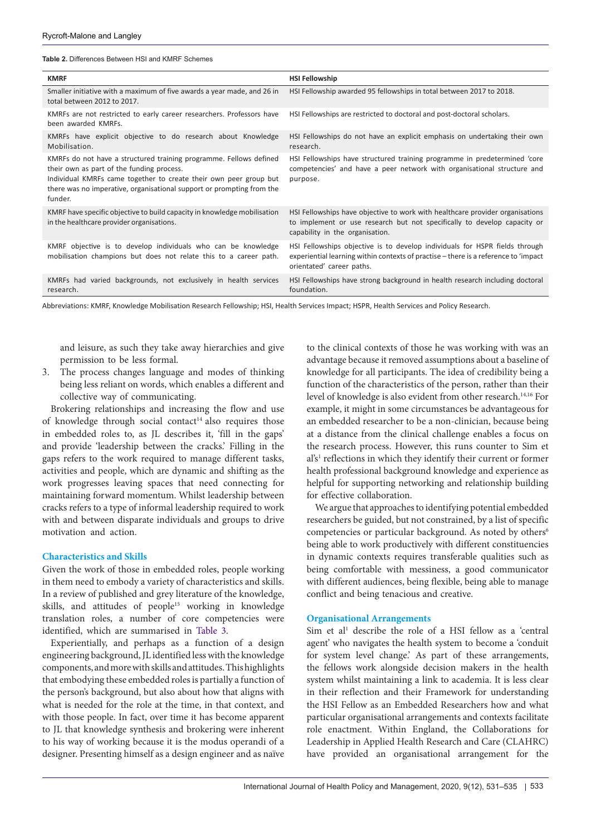<span id="page-2-0"></span>**Table 2.** Differences Between HSI and KMRF Schemes

| <b>KMRF</b>                                                                                                                                                                                                                                                              | <b>HSI Fellowship</b>                                                                                                                                                                           |
|--------------------------------------------------------------------------------------------------------------------------------------------------------------------------------------------------------------------------------------------------------------------------|-------------------------------------------------------------------------------------------------------------------------------------------------------------------------------------------------|
| Smaller initiative with a maximum of five awards a year made, and 26 in<br>total between 2012 to 2017.                                                                                                                                                                   | HSI Fellowship awarded 95 fellowships in total between 2017 to 2018.                                                                                                                            |
| KMRFs are not restricted to early career researchers. Professors have<br>been awarded KMRFs.                                                                                                                                                                             | HSI Fellowships are restricted to doctoral and post-doctoral scholars.                                                                                                                          |
| KMRFs have explicit objective to do research about Knowledge<br>Mobilisation.                                                                                                                                                                                            | HSI Fellowships do not have an explicit emphasis on undertaking their own<br>research.                                                                                                          |
| KMRFs do not have a structured training programme. Fellows defined<br>their own as part of the funding process.<br>Individual KMRFs came together to create their own peer group but<br>there was no imperative, organisational support or prompting from the<br>funder. | HSI Fellowships have structured training programme in predetermined 'core<br>competencies' and have a peer network with organisational structure and<br>purpose.                                |
| KMRF have specific objective to build capacity in knowledge mobilisation<br>in the healthcare provider organisations.                                                                                                                                                    | HSI Fellowships have objective to work with healthcare provider organisations<br>to implement or use research but not specifically to develop capacity or<br>capability in the organisation.    |
| KMRF objective is to develop individuals who can be knowledge<br>mobilisation champions but does not relate this to a career path.                                                                                                                                       | HSI Fellowships objective is to develop individuals for HSPR fields through<br>experiential learning within contexts of practise – there is a reference to 'impact<br>orientated' career paths. |
| KMRFs had varied backgrounds, not exclusively in health services<br>research.                                                                                                                                                                                            | HSI Fellowships have strong background in health research including doctoral<br>foundation.                                                                                                     |

Abbreviations: KMRF, Knowledge Mobilisation Research Fellowship; HSI, Health Services Impact; HSPR, Health Services and Policy Research.

and leisure, as such they take away hierarchies and give permission to be less formal.

3. The process changes language and modes of thinking being less reliant on words, which enables a different and collective way of communicating.

Brokering relationships and increasing the flow and use of knowledge through social contact<sup>14</sup> also requires those in embedded roles to, as JL describes it, 'fill in the gaps' and provide 'leadership between the cracks.' Filling in the gaps refers to the work required to manage different tasks, activities and people, which are dynamic and shifting as the work progresses leaving spaces that need connecting for maintaining forward momentum. Whilst leadership between cracks refers to a type of informal leadership required to work with and between disparate individuals and groups to drive motivation and action.

## **Characteristics and Skills**

Given the work of those in embedded roles, people working in them need to embody a variety of characteristics and skills. In a review of published and grey literature of the knowledge, skills, and attitudes of people<sup>15</sup> working in knowledge translation roles, a number of core competencies were identified, which are summarised in [Table 3.](#page-3-0)

Experientially, and perhaps as a function of a design engineering background, JL identified less with the knowledge components, and more with skills and attitudes. This highlights that embodying these embedded roles is partially a function of the person's background, but also about how that aligns with what is needed for the role at the time, in that context, and with those people. In fact, over time it has become apparent to JL that knowledge synthesis and brokering were inherent to his way of working because it is the modus operandi of a designer. Presenting himself as a design engineer and as naïve

to the clinical contexts of those he was working with was an advantage because it removed assumptions about a baseline of knowledge for all participants. The idea of credibility being a function of the characteristics of the person, rather than their level of knowledge is also evident from other research.14,16 For example, it might in some circumstances be advantageous for an embedded researcher to be a non-clinician, because being at a distance from the clinical challenge enables a focus on the research process. However, this runs counter to Sim et al's<sup>1</sup> reflections in which they identify their current or former health professional background knowledge and experience as helpful for supporting networking and relationship building for effective collaboration.

We argue that approaches to identifying potential embedded researchers be guided, but not constrained, by a list of specific competencies or particular background. As noted by others<sup>6</sup> being able to work productively with different constituencies in dynamic contexts requires transferable qualities such as being comfortable with messiness, a good communicator with different audiences, being flexible, being able to manage conflict and being tenacious and creative.

#### **Organisational Arrangements**

Sim et al<sup>1</sup> describe the role of a HSI fellow as a 'central agent' who navigates the health system to become a 'conduit for system level change.' As part of these arrangements, the fellows work alongside decision makers in the health system whilst maintaining a link to academia. It is less clear in their reflection and their Framework for understanding the HSI Fellow as an Embedded Researchers how and what particular organisational arrangements and contexts facilitate role enactment. Within England, the Collaborations for Leadership in Applied Health Research and Care (CLAHRC) have provided an organisational arrangement for the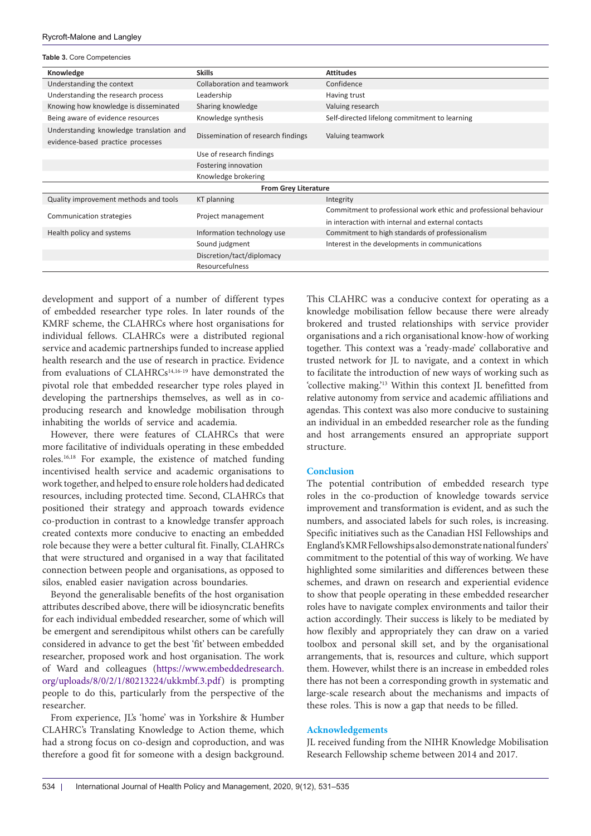<span id="page-3-0"></span>**Table 3.** Core Competencies

| Knowledge                                                                    | <b>Skills</b>                      | <b>Attitudes</b>                                                 |  |  |  |  |
|------------------------------------------------------------------------------|------------------------------------|------------------------------------------------------------------|--|--|--|--|
| Understanding the context                                                    | Collaboration and teamwork         | Confidence                                                       |  |  |  |  |
| Understanding the research process                                           | Leadership                         | Having trust                                                     |  |  |  |  |
| Knowing how knowledge is disseminated                                        | Sharing knowledge                  | Valuing research                                                 |  |  |  |  |
| Being aware of evidence resources                                            | Knowledge synthesis                | Self-directed lifelong commitment to learning                    |  |  |  |  |
| Understanding knowledge translation and<br>evidence-based practice processes | Dissemination of research findings | Valuing teamwork                                                 |  |  |  |  |
|                                                                              | Use of research findings           |                                                                  |  |  |  |  |
|                                                                              | Fostering innovation               |                                                                  |  |  |  |  |
|                                                                              | Knowledge brokering                |                                                                  |  |  |  |  |
| <b>From Grey Literature</b>                                                  |                                    |                                                                  |  |  |  |  |
| Quality improvement methods and tools                                        | <b>KT</b> planning                 | Integrity                                                        |  |  |  |  |
|                                                                              |                                    | Commitment to professional work ethic and professional behaviour |  |  |  |  |
| Communication strategies                                                     | Project management                 | in interaction with internal and external contacts               |  |  |  |  |
| Health policy and systems                                                    | Information technology use         | Commitment to high standards of professionalism                  |  |  |  |  |
|                                                                              | Sound judgment                     | Interest in the developments in communications                   |  |  |  |  |
|                                                                              | Discretion/tact/diplomacy          |                                                                  |  |  |  |  |
|                                                                              | <b>Resourcefulness</b>             |                                                                  |  |  |  |  |

development and support of a number of different types of embedded researcher type roles. In later rounds of the KMRF scheme, the CLAHRCs where host organisations for individual fellows. CLAHRCs were a distributed regional service and academic partnerships funded to increase applied health research and the use of research in practice. Evidence from evaluations of CLAHRCs<sup>14,16-19</sup> have demonstrated the pivotal role that embedded researcher type roles played in developing the partnerships themselves, as well as in coproducing research and knowledge mobilisation through inhabiting the worlds of service and academia.

However, there were features of CLAHRCs that were more facilitative of individuals operating in these embedded roles.16,18 For example, the existence of matched funding incentivised health service and academic organisations to work together, and helped to ensure role holders had dedicated resources, including protected time. Second, CLAHRCs that positioned their strategy and approach towards evidence co-production in contrast to a knowledge transfer approach created contexts more conducive to enacting an embedded role because they were a better cultural fit. Finally, CLAHRCs that were structured and organised in a way that facilitated connection between people and organisations, as opposed to silos, enabled easier navigation across boundaries.

Beyond the generalisable benefits of the host organisation attributes described above, there will be idiosyncratic benefits for each individual embedded researcher, some of which will be emergent and serendipitous whilst others can be carefully considered in advance to get the best 'fit' between embedded researcher, proposed work and host organisation. The work of Ward and colleagues ([https://www.embeddedresearch.](https://www.embeddedresearch.org/uploads/8/0/2/1/80213224/ukkmbf.3.pdf) [org/uploads/8/0/2/1/80213224/ukkmbf.3.pdf](https://www.embeddedresearch.org/uploads/8/0/2/1/80213224/ukkmbf.3.pdf)) is prompting people to do this, particularly from the perspective of the researcher.

From experience, JL's 'home' was in Yorkshire & Humber CLAHRC's Translating Knowledge to Action theme, which had a strong focus on co-design and coproduction, and was therefore a good fit for someone with a design background. This CLAHRC was a conducive context for operating as a knowledge mobilisation fellow because there were already brokered and trusted relationships with service provider organisations and a rich organisational know-how of working together. This context was a 'ready-made' collaborative and trusted network for JL to navigate, and a context in which to facilitate the introduction of new ways of working such as 'collective making.'13 Within this context JL benefitted from relative autonomy from service and academic affiliations and agendas. This context was also more conducive to sustaining an individual in an embedded researcher role as the funding and host arrangements ensured an appropriate support structure.

## **Conclusion**

The potential contribution of embedded research type roles in the co-production of knowledge towards service improvement and transformation is evident, and as such the numbers, and associated labels for such roles, is increasing. Specific initiatives such as the Canadian HSI Fellowships and England's KMR Fellowships also demonstrate national funders' commitment to the potential of this way of working. We have highlighted some similarities and differences between these schemes, and drawn on research and experiential evidence to show that people operating in these embedded researcher roles have to navigate complex environments and tailor their action accordingly. Their success is likely to be mediated by how flexibly and appropriately they can draw on a varied toolbox and personal skill set, and by the organisational arrangements, that is, resources and culture, which support them. However, whilst there is an increase in embedded roles there has not been a corresponding growth in systematic and large-scale research about the mechanisms and impacts of these roles. This is now a gap that needs to be filled.

## **Acknowledgements**

JL received funding from the NIHR Knowledge Mobilisation Research Fellowship scheme between 2014 and 2017.